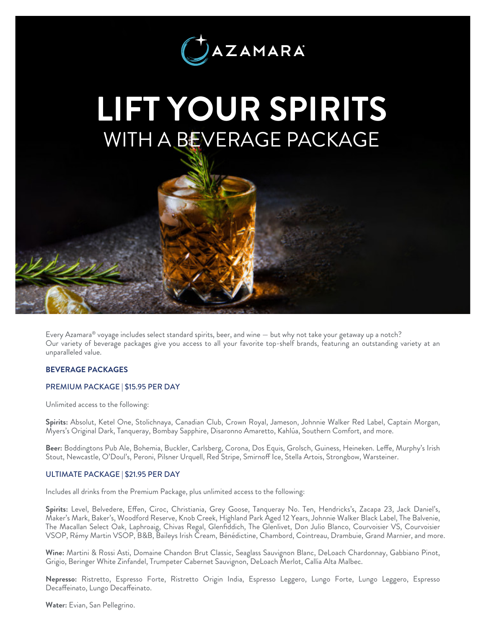

# *LIFT YOUR SPIRITS* WITH A BEVERAGE PACKAGE

Every Azamara® voyage includes select standard spirits, beer, and wine — but why not take your getaway up a notch? Our variety of beverage packages give you access to all your favorite top-shelf brands, featuring an outstanding variety at an unparalleled value.

## *BEVERAGE PACKAGES*

#### PREMIUM PACKAGE | \$15.95 PER DAY

Unlimited access to the following:

*Spirits:* Absolut, Ketel One, Stolichnaya, Canadian Club, Crown Royal, Jameson, Johnnie Walker Red Label, Captain Morgan, Myers's Original Dark, Tanqueray, Bombay Sapphire, Disaronno Amaretto, Kahlúa, Southern Comfort, and more.

*Beer:* Boddingtons Pub Ale, Bohemia, Buckler, Carlsberg, Corona, Dos Equis, Grolsch, Guiness, Heineken. Leffe, Murphy's Irish Stout, Newcastle, O'Doul's, Peroni, Pilsner Urquell, Red Stripe, Smirnoff Ice, Stella Artois, Strongbow, Warsteiner.

#### ULTIMATE PACKAGE | \$21.95 PER DAY

Includes all drinks from the Premium Package, plus unlimited access to the following:

*Spirits:* Level, Belvedere, Effen, Ciroc, Christiania, Grey Goose, Tanqueray No. Ten, Hendricks's, Zacapa 23, Jack Daniel's, Maker's Mark, Baker's, Woodford Reserve, Knob Creek, Highland Park Aged 12 Years, Johnnie Walker Black Label, The Balvenie, The Macallan Select Oak, Laphroaig, Chivas Regal, Glenfiddich, The Glenlivet, Don Julio Blanco, Courvoisier VS, Courvoisier VSOP, Rémy Martin VSOP, B&B, Baileys Irish Cream, Bénédictine, Chambord, Cointreau, Drambuie, Grand Marnier, and more.

*Wine:* Martini & Rossi Asti, Domaine Chandon Brut Classic, Seaglass Sauvignon Blanc, DeLoach Chardonnay, Gabbiano Pinot, Grigio, Beringer White Zinfandel, Trumpeter Cabernet Sauvignon, DeLoach Merlot, Callia Alta Malbec.

*Nepresso:* Ristretto, Espresso Forte, Ristretto Origin India, Espresso Leggero, Lungo Forte, Lungo Leggero, Espresso Decaffeinato, Lungo Decaffeinato.

*Water:* Evian, San Pellegrino.